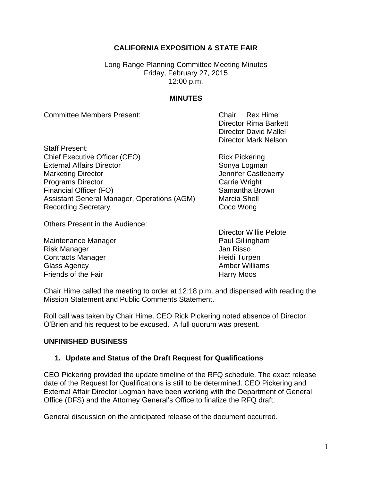# **CALIFORNIA EXPOSITION & STATE FAIR**

Long Range Planning Committee Meeting Minutes Friday, February 27, 2015 12:00 p.m.

### **MINUTES**

Committee Members Present: Chair Rex Hime

Staff Present: Chief Executive Officer (CEO) Rick Pickering External Affairs Director Sonya Logman Marketing Director **Marketing Director** And Tennifer Castleberry **Programs Director** Carrie Wright Financial Officer (FO) Samantha Brown Assistant General Manager, Operations (AGM) Marcia Shell Recording Secretary **Coco Wong** 

Others Present in the Audience:

Maintenance Manager **Paul Gillingham** Risk Manager **New York Contract Contract Contract Contract Contract Contract Contract Contract Contract Contract Contract Contract Contract Contract Contract Contract Contract Contract Contract Contract Contract Contract C** Contracts Manager **Exercise Structure Contracts Manager** Meidi Turpen Glass Agency **Amber Williams Amber Williams** Friends of the Fair **Harry Moos** 

Director Rima Barkett Director David Mallel Director Mark Nelson

Director Willie Pelote

Chair Hime called the meeting to order at 12:18 p.m. and dispensed with reading the Mission Statement and Public Comments Statement.

Roll call was taken by Chair Hime. CEO Rick Pickering noted absence of Director O'Brien and his request to be excused. A full quorum was present.

#### **UNFINISHED BUSINESS**

### **1. Update and Status of the Draft Request for Qualifications**

CEO Pickering provided the update timeline of the RFQ schedule. The exact release date of the Request for Qualifications is still to be determined. CEO Pickering and External Affair Director Logman have been working with the Department of General Office (DFS) and the Attorney General's Office to finalize the RFQ draft.

General discussion on the anticipated release of the document occurred.